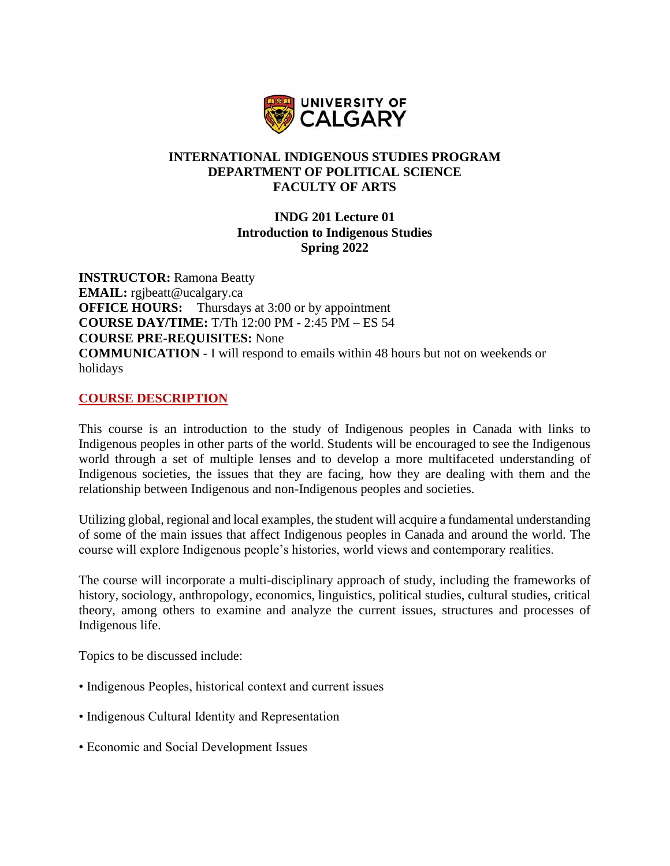

### **INTERNATIONAL INDIGENOUS STUDIES PROGRAM DEPARTMENT OF POLITICAL SCIENCE FACULTY OF ARTS**

## **INDG 201 Lecture 01 Introduction to Indigenous Studies Spring 2022**

**INSTRUCTOR:** Ramona Beatty **EMAIL:** rgjbeatt@ucalgary.ca **OFFICE HOURS:** Thursdays at 3:00 or by appointment **COURSE DAY/TIME:** T/Th 12:00 PM - 2:45 PM – ES 54 **COURSE PRE-REQUISITES:** None **COMMUNICATION** - I will respond to emails within 48 hours but not on weekends or holidays

### **COURSE DESCRIPTION**

This course is an introduction to the study of Indigenous peoples in Canada with links to Indigenous peoples in other parts of the world. Students will be encouraged to see the Indigenous world through a set of multiple lenses and to develop a more multifaceted understanding of Indigenous societies, the issues that they are facing, how they are dealing with them and the relationship between Indigenous and non-Indigenous peoples and societies.

Utilizing global, regional and local examples, the student will acquire a fundamental understanding of some of the main issues that affect Indigenous peoples in Canada and around the world. The course will explore Indigenous people's histories, world views and contemporary realities.

The course will incorporate a multi-disciplinary approach of study, including the frameworks of history, sociology, anthropology, economics, linguistics, political studies, cultural studies, critical theory, among others to examine and analyze the current issues, structures and processes of Indigenous life.

Topics to be discussed include:

- Indigenous Peoples, historical context and current issues
- Indigenous Cultural Identity and Representation
- Economic and Social Development Issues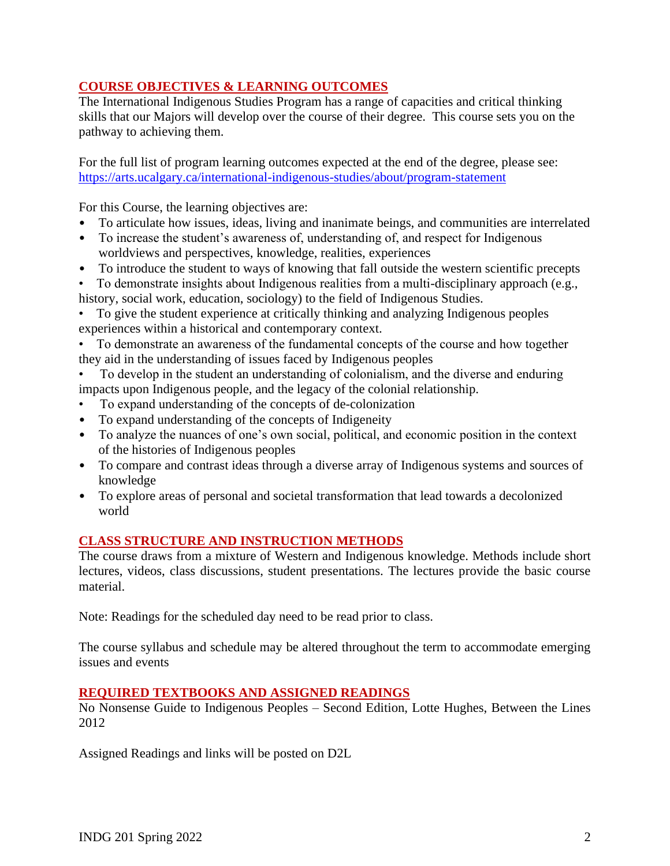## **COURSE OBJECTIVES & LEARNING OUTCOMES**

The International Indigenous Studies Program has a range of capacities and critical thinking skills that our Majors will develop over the course of their degree. This course sets you on the pathway to achieving them.

For the full list of program learning outcomes expected at the end of the degree, please see: <https://arts.ucalgary.ca/international-indigenous-studies/about/program-statement>

For this Course, the learning objectives are:

- To articulate how issues, ideas, living and inanimate beings, and communities are interrelated
- To increase the student's awareness of, understanding of, and respect for Indigenous worldviews and perspectives, knowledge, realities, experiences
- To introduce the student to ways of knowing that fall outside the western scientific precepts<br>• To demonstrate insights about Indigenous realities from a multi-disciplinary approach (e.g.,
- To demonstrate insights about Indigenous realities from a multi-disciplinary approach (e.g., history, social work, education, sociology) to the field of Indigenous Studies.

• To give the student experience at critically thinking and analyzing Indigenous peoples experiences within a historical and contemporary context.

• To demonstrate an awareness of the fundamental concepts of the course and how together they aid in the understanding of issues faced by Indigenous peoples

• To develop in the student an understanding of colonialism, and the diverse and enduring impacts upon Indigenous people, and the legacy of the colonial relationship.

- To expand understanding of the concepts of de-colonization
- To expand understanding of the concepts of Indigeneity
- To analyze the nuances of one's own social, political, and economic position in the context of the histories of Indigenous peoples
- To compare and contrast ideas through a diverse array of Indigenous systems and sources of knowledge
- To explore areas of personal and societal transformation that lead towards a decolonized world

# **CLASS STRUCTURE AND INSTRUCTION METHODS**

The course draws from a mixture of Western and Indigenous knowledge. Methods include short lectures, videos, class discussions, student presentations. The lectures provide the basic course material.

Note: Readings for the scheduled day need to be read prior to class.

The course syllabus and schedule may be altered throughout the term to accommodate emerging issues and events

## **REQUIRED TEXTBOOKS AND ASSIGNED READINGS**

No Nonsense Guide to Indigenous Peoples – Second Edition, Lotte Hughes, Between the Lines 2012

Assigned Readings and links will be posted on D2L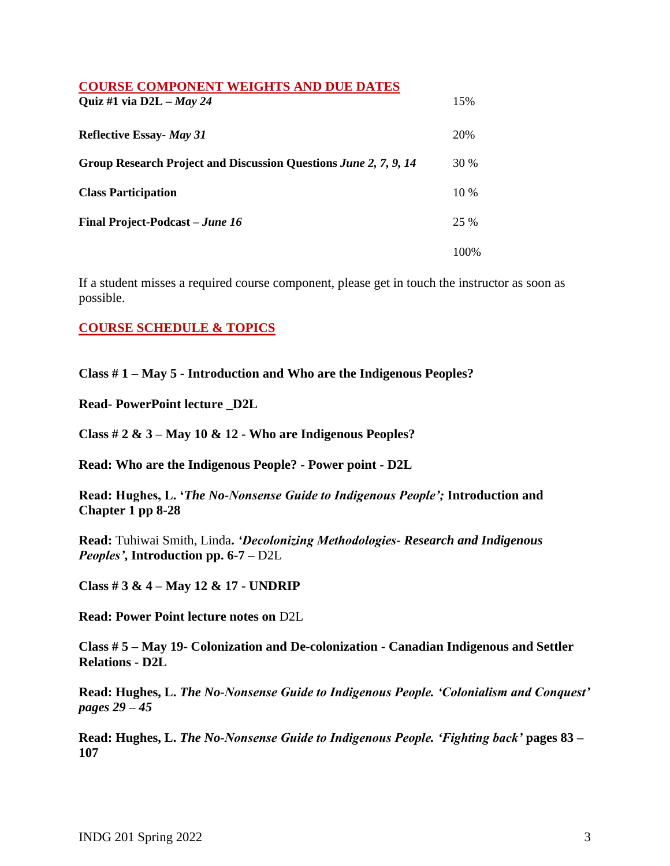| <b>COURSE COMPONENT WEIGHTS AND DUE DATES</b>                    |        |
|------------------------------------------------------------------|--------|
| Quiz #1 via D2L $-May$ 24                                        | 15%    |
| <b>Reflective Essay- May 31</b>                                  | 20%    |
| Group Research Project and Discussion Questions June 2, 7, 9, 14 | 30 %   |
| <b>Class Participation</b>                                       | $10\%$ |
| <b>Final Project-Podcast</b> – <i>June 16</i>                    | 25 %   |
|                                                                  | 100\%  |

If a student misses a required course component, please get in touch the instructor as soon as possible.

## **COURSE SCHEDULE & TOPICS**

**Class # 1 – May 5 - Introduction and Who are the Indigenous Peoples?**

**Read- PowerPoint lecture \_D2L** 

**Class # 2 & 3 – May 10 & 12 - Who are Indigenous Peoples?** 

**Read: Who are the Indigenous People? - Power point - D2L**

**Read: Hughes, L. '***The No-Nonsense Guide to Indigenous People';* **Introduction and Chapter 1 pp 8-28**

**Read:** Tuhiwai Smith, Linda**.** *'Decolonizing Methodologies- Research and Indigenous Peoples'***, Introduction pp. 6-7 –** D2L

**Class # 3 & 4 – May 12 & 17 - UNDRIP** 

**Read: Power Point lecture notes on** D2L

**Class # 5 – May 19- Colonization and De-colonization - Canadian Indigenous and Settler Relations - D2L**

**Read: Hughes, L.** *The No-Nonsense Guide to Indigenous People. 'Colonialism and Conquest' pages 29 – 45*

**Read: Hughes, L.** *The No-Nonsense Guide to Indigenous People. 'Fighting back'* **pages 83 – 107**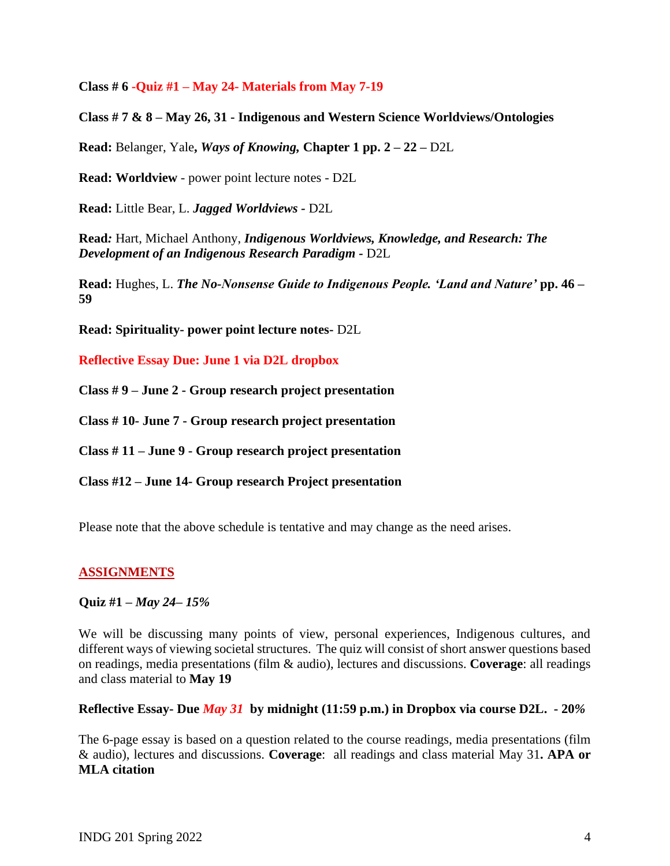**Class # 6 -Quiz #1 – May 24- Materials from May 7-19** 

**Class # 7 & 8 – May 26, 31 - Indigenous and Western Science Worldviews/Ontologies**

**Read:** Belanger, Yale**,** *Ways of Knowing,* **Chapter 1 pp. 2 – 22 –** D2L

**Read: Worldview** - power point lecture notes - D2L

**Read:** Little Bear, L. *Jagged Worldviews -* D2L

**Read***:* Hart, Michael Anthony, *Indigenous Worldviews, Knowledge, and Research: The Development of an Indigenous Research Paradigm -* D2L

**Read:** Hughes, L. *The No-Nonsense Guide to Indigenous People. 'Land and Nature'* **pp. 46 – 59** 

**Read: Spirituality- power point lecture notes-** D2L

**Reflective Essay Due: June 1 via D2L dropbox**

**Class # 9 – June 2 - Group research project presentation**

**Class # 10- June 7 - Group research project presentation**

**Class # 11 – June 9 - Group research project presentation**

**Class #12 – June 14- Group research Project presentation**

Please note that the above schedule is tentative and may change as the need arises.

#### **ASSIGNMENTS**

#### **Quiz #1 –** *May 24– 15%*

We will be discussing many points of view, personal experiences, Indigenous cultures, and different ways of viewing societal structures. The quiz will consist of short answer questions based on readings, media presentations (film & audio), lectures and discussions. **Coverage**: all readings and class material to **May 19**

#### **Reflective Essay- Due** *May 31* **by midnight (11:59 p.m.) in Dropbox via course D2L. - 20***%*

The 6-page essay is based on a question related to the course readings, media presentations (film & audio), lectures and discussions. **Coverage**: all readings and class material May 31**. APA or MLA citation**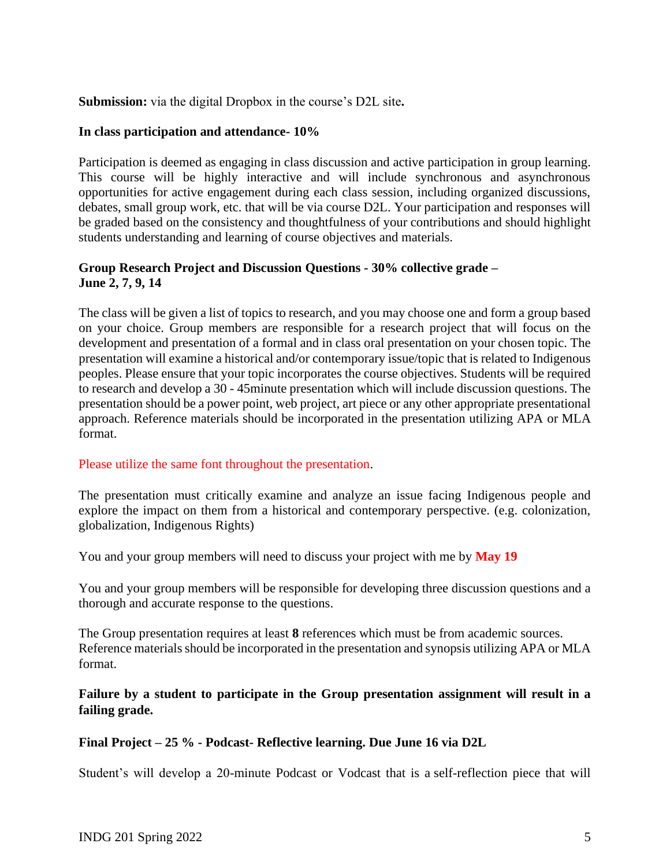### **Submission:** via the digital Dropbox in the course's D2L site**.**

#### **In class participation and attendance- 10%**

Participation is deemed as engaging in class discussion and active participation in group learning. This course will be highly interactive and will include synchronous and asynchronous opportunities for active engagement during each class session, including organized discussions, debates, small group work, etc. that will be via course D2L. Your participation and responses will be graded based on the consistency and thoughtfulness of your contributions and should highlight students understanding and learning of course objectives and materials.

### **Group Research Project and Discussion Questions - 30% collective grade – June 2, 7, 9, 14**

The class will be given a list of topics to research, and you may choose one and form a group based on your choice. Group members are responsible for a research project that will focus on the development and presentation of a formal and in class oral presentation on your chosen topic. The presentation will examine a historical and/or contemporary issue/topic that is related to Indigenous peoples. Please ensure that your topic incorporates the course objectives. Students will be required to research and develop a 30 - 45minute presentation which will include discussion questions. The presentation should be a power point, web project, art piece or any other appropriate presentational approach. Reference materials should be incorporated in the presentation utilizing APA or MLA format.

## Please utilize the same font throughout the presentation.

The presentation must critically examine and analyze an issue facing Indigenous people and explore the impact on them from a historical and contemporary perspective. (e.g. colonization, globalization, Indigenous Rights)

You and your group members will need to discuss your project with me by **May 19**

You and your group members will be responsible for developing three discussion questions and a thorough and accurate response to the questions.

The Group presentation requires at least **8** references which must be from academic sources. Reference materials should be incorporated in the presentation and synopsis utilizing APA or MLA format.

## **Failure by a student to participate in the Group presentation assignment will result in a failing grade.**

## **Final Project – 25 % - Podcast- Reflective learning. Due June 16 via D2L**

Student's will develop a 20-minute Podcast or Vodcast that is a self-reflection piece that will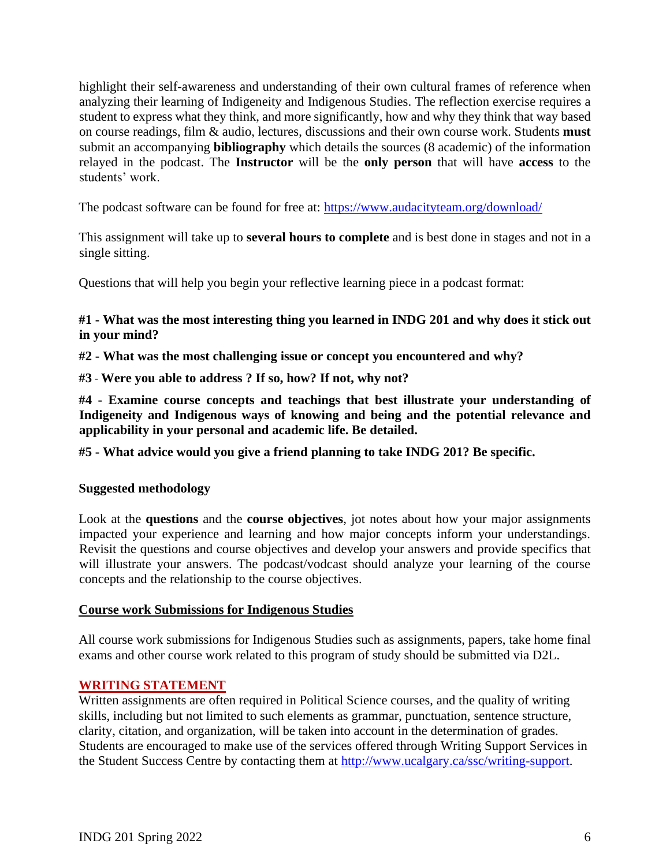highlight their self-awareness and understanding of their own cultural frames of reference when analyzing their learning of Indigeneity and Indigenous Studies. The reflection exercise requires a student to express what they think, and more significantly, how and why they think that way based on course readings, film & audio, lectures, discussions and their own course work. Students **must** submit an accompanying **bibliography** which details the sources (8 academic) of the information relayed in the podcast. The **Instructor** will be the **only person** that will have **access** to the students' work.

The podcast software can be found for free at:<https://www.audacityteam.org/download/>

This assignment will take up to **several hours to complete** and is best done in stages and not in a single sitting.

Questions that will help you begin your reflective learning piece in a podcast format:

### **#1 - What was the most interesting thing you learned in INDG 201 and why does it stick out in your mind?**

**#2 - What was the most challenging issue or concept you encountered and why?**

**#3** - **Were you able to address ? If so, how? If not, why not?**

**#4 - Examine course concepts and teachings that best illustrate your understanding of Indigeneity and Indigenous ways of knowing and being and the potential relevance and applicability in your personal and academic life. Be detailed.**

**#5 - What advice would you give a friend planning to take INDG 201? Be specific.**

#### **Suggested methodology**

Look at the **questions** and the **course objectives**, jot notes about how your major assignments impacted your experience and learning and how major concepts inform your understandings. Revisit the questions and course objectives and develop your answers and provide specifics that will illustrate your answers. The podcast/vodcast should analyze your learning of the course concepts and the relationship to the course objectives.

#### **Course work Submissions for Indigenous Studies**

All course work submissions for Indigenous Studies such as assignments, papers, take home final exams and other course work related to this program of study should be submitted via D2L.

## **WRITING STATEMENT**

Written assignments are often required in Political Science courses, and the quality of writing skills, including but not limited to such elements as grammar, punctuation, sentence structure, clarity, citation, and organization, will be taken into account in the determination of grades. Students are encouraged to make use of the services offered through Writing Support Services in the Student Success Centre by contacting them at [http://www.ucalgary.ca/ssc/writing-support.](http://www.ucalgary.ca/ssc/writing-support)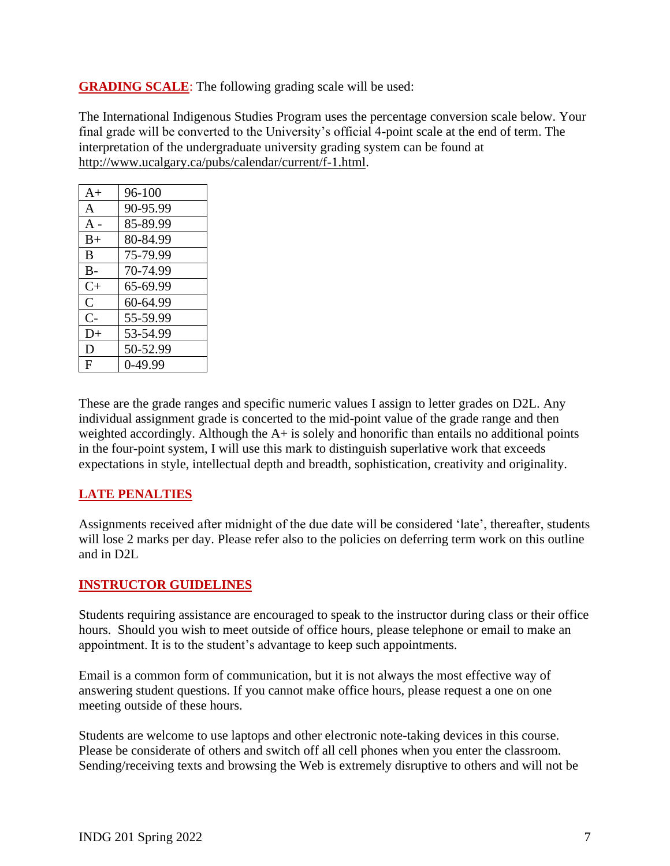**GRADING SCALE**: The following grading scale will be used:

The International Indigenous Studies Program uses the percentage conversion scale below. Your final grade will be converted to the University's official 4-point scale at the end of term. The interpretation of the undergraduate university grading system can be found at [http://www.ucalgary.ca/pubs/calendar/current/f-1.html.](http://www.ucalgary.ca/pubs/calendar/current/f-1.html)

| $A+$           | $96-100$  |
|----------------|-----------|
| A              | 90-95.99  |
| $A -$          | 85-89.99  |
| $B+$           | 80-84.99  |
| B              | 75-79.99  |
| $B -$          | 70-74.99  |
| $C+$           | 65-69.99  |
| $\overline{C}$ | 60-64.99  |
| $C-$           | 55-59.99  |
| $D+$           | 53-54.99  |
| D              | 50-52.99  |
| F              | $0-49.99$ |

These are the grade ranges and specific numeric values I assign to letter grades on D2L. Any individual assignment grade is concerted to the mid-point value of the grade range and then weighted accordingly. Although the A+ is solely and honorific than entails no additional points in the four-point system, I will use this mark to distinguish superlative work that exceeds expectations in style, intellectual depth and breadth, sophistication, creativity and originality.

## **LATE PENALTIES**

Assignments received after midnight of the due date will be considered 'late', thereafter, students will lose 2 marks per day. Please refer also to the policies on deferring term work on this outline and in D2L

## **INSTRUCTOR GUIDELINES**

Students requiring assistance are encouraged to speak to the instructor during class or their office hours. Should you wish to meet outside of office hours, please telephone or email to make an appointment. It is to the student's advantage to keep such appointments.

Email is a common form of communication, but it is not always the most effective way of answering student questions. If you cannot make office hours, please request a one on one meeting outside of these hours.

Students are welcome to use laptops and other electronic note-taking devices in this course. Please be considerate of others and switch off all cell phones when you enter the classroom. Sending/receiving texts and browsing the Web is extremely disruptive to others and will not be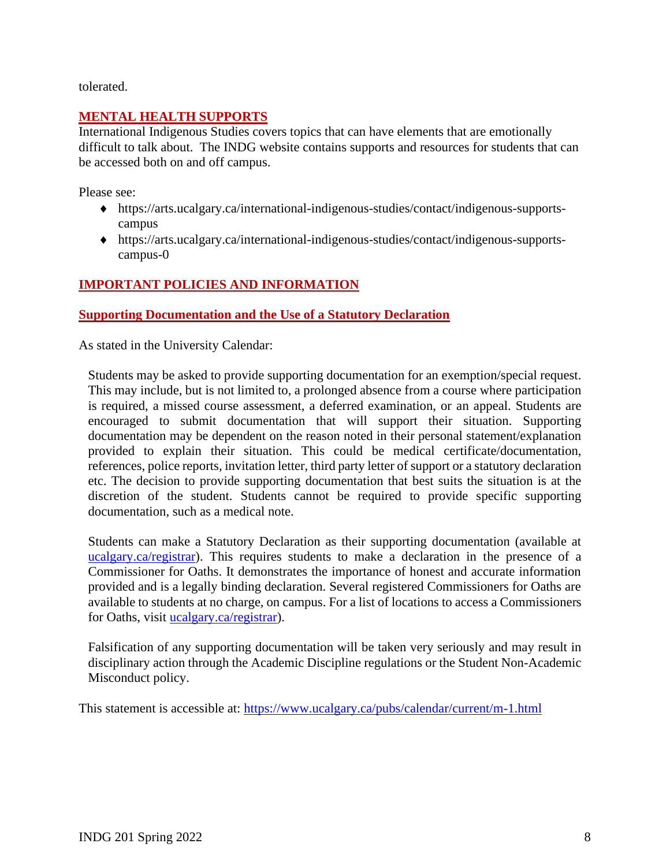tolerated.

### **MENTAL HEALTH SUPPORTS**

International Indigenous Studies covers topics that can have elements that are emotionally difficult to talk about. The INDG website contains supports and resources for students that can be accessed both on and off campus.

Please see:

- [https://arts.ucalgary.ca/international-indigenous-studies/contact/indigenous-supports](https://arts.ucalgary.ca/international-indigenous-studies/contact/indigenous-supports-campus)[campus](https://arts.ucalgary.ca/international-indigenous-studies/contact/indigenous-supports-campus)
- [https://arts.ucalgary.ca/international-indigenous-studies/contact/indigenous-supports](https://arts.ucalgary.ca/international-indigenous-studies/contact/indigenous-supports-campus-0)[campus-0](https://arts.ucalgary.ca/international-indigenous-studies/contact/indigenous-supports-campus-0)

## **IMPORTANT POLICIES AND INFORMATION**

### **Supporting Documentation and the Use of a Statutory Declaration**

As stated in the University Calendar:

Students may be asked to provide supporting documentation for an exemption/special request. This may include, but is not limited to, a prolonged absence from a course where participation is required, a missed course assessment, a deferred examination, or an appeal. Students are encouraged to submit documentation that will support their situation. Supporting documentation may be dependent on the reason noted in their personal statement/explanation provided to explain their situation. This could be medical certificate/documentation, references, police reports, invitation letter, third party letter of support or a statutory declaration etc. The decision to provide supporting documentation that best suits the situation is at the discretion of the student. Students cannot be required to provide specific supporting documentation, such as a medical note.

Students can make a Statutory Declaration as their supporting documentation (available at ucalgary.ca/registrar). This requires students to make a declaration in the presence of a Commissioner for Oaths. It demonstrates the importance of honest and accurate information provided and is a legally binding declaration. Several registered Commissioners for Oaths are available to students at no charge, on campus. For a list of locations to access a Commissioners for Oaths, visit [ucalgary.ca/registrar\)](http://www.ucalgary.ca/registrar).

Falsification of any supporting documentation will be taken very seriously and may result in disciplinary action through the Academic Discipline regulations or the Student Non-Academic Misconduct policy.

This statement is accessible at:<https://www.ucalgary.ca/pubs/calendar/current/m-1.html>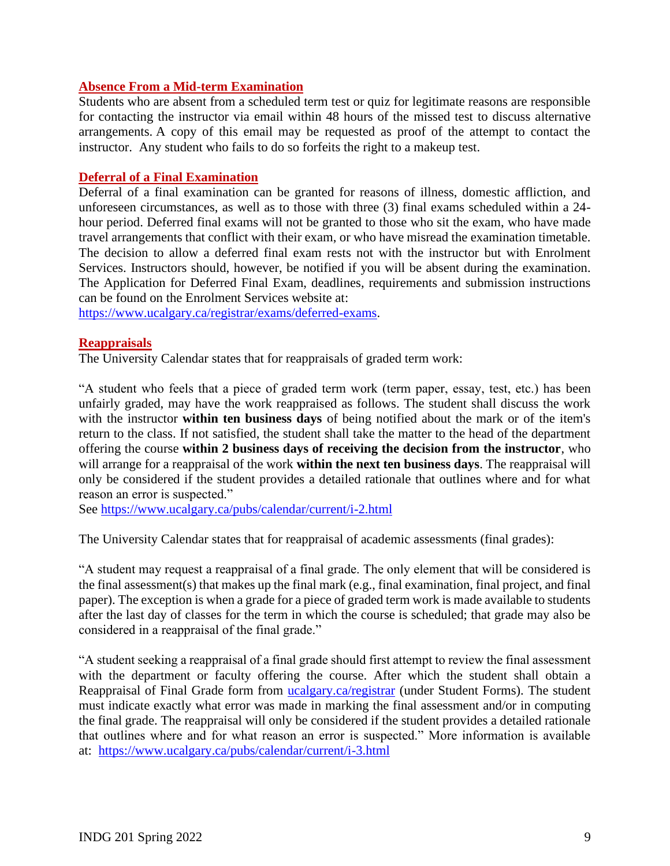#### **Absence From a Mid-term Examination**

Students who are absent from a scheduled term test or quiz for legitimate reasons are responsible for contacting the instructor via email within 48 hours of the missed test to discuss alternative arrangements. A copy of this email may be requested as proof of the attempt to contact the instructor. Any student who fails to do so forfeits the right to a makeup test.

#### **Deferral of a Final Examination**

Deferral of a final examination can be granted for reasons of illness, domestic affliction, and unforeseen circumstances, as well as to those with three (3) final exams scheduled within a 24 hour period. Deferred final exams will not be granted to those who sit the exam, who have made travel arrangements that conflict with their exam, or who have misread the examination timetable. The decision to allow a deferred final exam rests not with the instructor but with Enrolment Services. Instructors should, however, be notified if you will be absent during the examination. The Application for Deferred Final Exam, deadlines, requirements and submission instructions can be found on the Enrolment Services website at:

[https://www.ucalgary.ca/registrar/exams/deferred-exams.](https://www.ucalgary.ca/registrar/exams/deferred-exams)

#### **Reappraisals**

The University Calendar states that for reappraisals of graded term work:

"A student who feels that a piece of graded term work (term paper, essay, test, etc.) has been unfairly graded, may have the work reappraised as follows. The student shall discuss the work with the instructor **within ten business days** of being notified about the mark or of the item's return to the class. If not satisfied, the student shall take the matter to the head of the department offering the course **within 2 business days of receiving the decision from the instructor**, who will arrange for a reappraisal of the work **within the next ten business days**. The reappraisal will only be considered if the student provides a detailed rationale that outlines where and for what reason an error is suspected."

See<https://www.ucalgary.ca/pubs/calendar/current/i-2.html>

The University Calendar states that for reappraisal of academic assessments (final grades):

"A student may request a reappraisal of a final grade. The only element that will be considered is the final assessment(s) that makes up the final mark (e.g., final examination, final project, and final paper). The exception is when a grade for a piece of graded term work is made available to students after the last day of classes for the term in which the course is scheduled; that grade may also be considered in a reappraisal of the final grade."

"A student seeking a reappraisal of a final grade should first attempt to review the final assessment with the department or faculty offering the course. After which the student shall obtain a Reappraisal of Final Grade form from [ucalgary.ca/registrar](https://www.ucalgary.ca/registrar/home) (under Student Forms). The student must indicate exactly what error was made in marking the final assessment and/or in computing the final grade. The reappraisal will only be considered if the student provides a detailed rationale that outlines where and for what reason an error is suspected." More information is available at: <https://www.ucalgary.ca/pubs/calendar/current/i-3.html>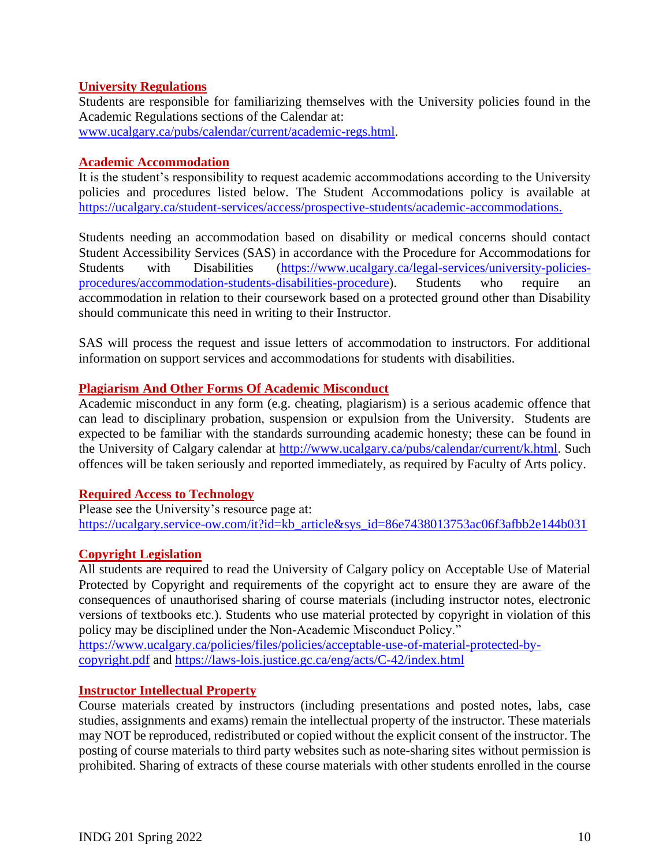### **University Regulations**

Students are responsible for familiarizing themselves with the University policies found in the Academic Regulations sections of the Calendar at: [www.ucalgary.ca/pubs/calendar/current/academic-regs.html.](http://www.ucalgary.ca/pubs/calendar/current/academic-regs.html)

#### **Academic Accommodation**

It is the student's responsibility to request academic accommodations according to the University policies and procedures listed below. The Student Accommodations policy is available at [https://ucalgary.ca/student-services/access/prospective-students/academic-accommodations.](https://ucalgary.ca/student-services/access/prospective-students/academic-accommodations)

Students needing an accommodation based on disability or medical concerns should contact Student Accessibility Services (SAS) in accordance with the Procedure for Accommodations for Students with Disabilities [\(https://www.ucalgary.ca/legal-services/university-policies](https://www.ucalgary.ca/legal-services/university-policies-procedures/accommodation-students-disabilities-procedure)[procedures/accommodation-students-disabilities-procedure\)](https://www.ucalgary.ca/legal-services/university-policies-procedures/accommodation-students-disabilities-procedure). Students who require an accommodation in relation to their coursework based on a protected ground other than Disability should communicate this need in writing to their Instructor.

SAS will process the request and issue letters of accommodation to instructors. For additional information on support services and accommodations for students with disabilities.

### **Plagiarism And Other Forms Of Academic Misconduct**

Academic misconduct in any form (e.g. cheating, plagiarism) is a serious academic offence that can lead to disciplinary probation, suspension or expulsion from the University. Students are expected to be familiar with the standards surrounding academic honesty; these can be found in the University of Calgary calendar at [http://www.ucalgary.ca/pubs/calendar/current/k.html.](http://www.ucalgary.ca/pubs/calendar/current/k.html) Such offences will be taken seriously and reported immediately, as required by Faculty of Arts policy.

#### **Required Access to Technology**

Please see the University's resource page at: [https://ucalgary.service-ow.com/it?id=kb\\_article&sys\\_id=86e7438013753ac06f3afbb2e144b031](https://ucalgary.service-ow.com/it?id=kb_article&sys_id=86e7438013753ac06f3afbb2e144b031)

## **Copyright Legislation**

All students are required to read the University of Calgary policy on Acceptable Use of Material Protected by Copyright and requirements of the copyright act to ensure they are aware of the consequences of unauthorised sharing of course materials (including instructor notes, electronic versions of textbooks etc.). Students who use material protected by copyright in violation of this policy may be disciplined under the Non-Academic Misconduct Policy."

[https://www.ucalgary.ca/policies/files/policies/acceptable-use-of-material-protected-by](https://www.ucalgary.ca/policies/files/policies/acceptable-use-of-material-protected-by-copyright.pdf)[copyright.pdf](https://www.ucalgary.ca/policies/files/policies/acceptable-use-of-material-protected-by-copyright.pdf) and<https://laws-lois.justice.gc.ca/eng/acts/C-42/index.html>

## **Instructor Intellectual Property**

Course materials created by instructors (including presentations and posted notes, labs, case studies, assignments and exams) remain the intellectual property of the instructor. These materials may NOT be reproduced, redistributed or copied without the explicit consent of the instructor. The posting of course materials to third party websites such as note-sharing sites without permission is prohibited. Sharing of extracts of these course materials with other students enrolled in the course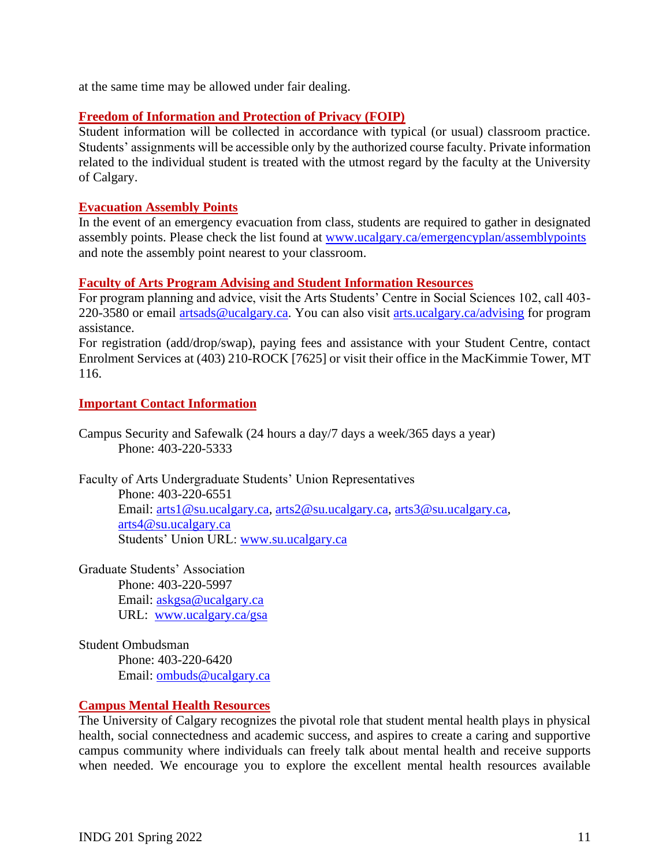at the same time may be allowed under fair dealing.

#### **Freedom of Information and Protection of Privacy (FOIP)**

Student information will be collected in accordance with typical (or usual) classroom practice. Students' assignments will be accessible only by the authorized course faculty. Private information related to the individual student is treated with the utmost regard by the faculty at the University of Calgary.

### **Evacuation Assembly Points**

In the event of an emergency evacuation from class, students are required to gather in designated assembly points. Please check the list found at [www.ucalgary.ca/emergencyplan/assemblypoints](http://www.ucalgary.ca/emergencyplan/assemblypoints) and note the assembly point nearest to your classroom.

### **Faculty of Arts Program Advising and Student Information Resources**

For program planning and advice, visit the Arts Students' Centre in Social Sciences 102, call 403- 220-3580 or email [artsads@ucalgary.ca.](mailto:artsads@ucalgary.ca) You can also visit [arts.ucalgary.ca/advising](http://arts.ucalgary.ca/advising) for program assistance.

For registration (add/drop/swap), paying fees and assistance with your Student Centre, contact Enrolment Services at (403) 210-ROCK [7625] or visit their office in the MacKimmie Tower, MT 116.

#### **Important Contact Information**

Campus Security and Safewalk (24 hours a day/7 days a week/365 days a year) Phone: 403-220-5333

Faculty of Arts Undergraduate Students' Union Representatives Phone: 403-220-6551 Email: [arts1@su.ucalgary.ca,](mailto:arts1@su.ucalgary.ca) [arts2@su.ucalgary.ca,](mailto:arts2@su.ucalgary.ca) [arts3@su.ucalgary.ca,](mailto:arts3@su.ucalgary.ca) [arts4@su.ucalgary.ca](mailto:arts4@su.ucalgary.ca) Students' Union URL: [www.su.ucalgary.ca](http://www.su.ucalgary.ca/)

Graduate Students' Association Phone: 403-220-5997 Email: [askgsa@ucalgary.ca](mailto:askgsa@ucalgary.ca) URL: [www.ucalgary.ca/gsa](http://www.ucalgary.ca/gsa)

Student Ombudsman Phone: 403-220-6420 Email: [ombuds@ucalgary.ca](mailto:ombuds@ucalgary.ca)

#### **Campus Mental Health Resources**

The University of Calgary recognizes the pivotal role that student mental health plays in physical health, social connectedness and academic success, and aspires to create a caring and supportive campus community where individuals can freely talk about mental health and receive supports when needed. We encourage you to explore the excellent mental health resources available